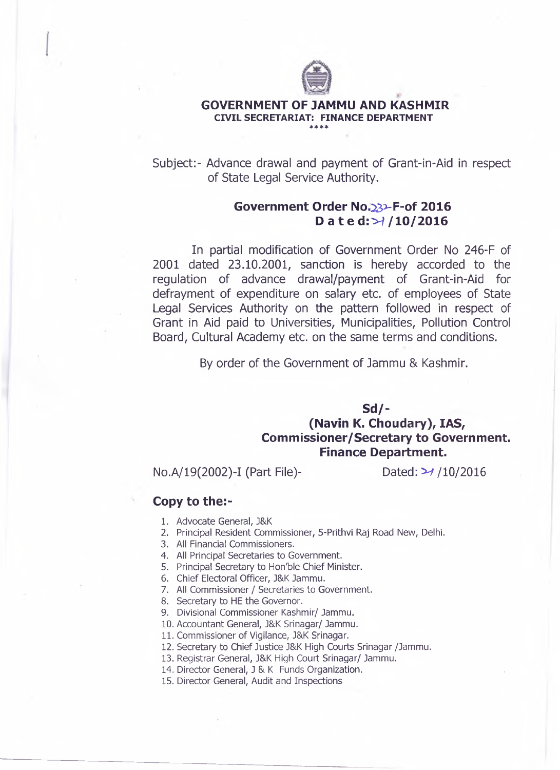

## **GOVERNMENT OF JAMMU AND KASHMIR CIVIL SECRETARIAT: FINANCE DEPARTMENT** \* \* \* \*

Subject:- Advance drawal and payment of Grant-in-Aid in respect of State Legal Service Authority.

## **Government Order No.^3>F-of 2016 Date d:>^ /10/2016**

In partial modification of Government Order No 246-F of 2001 dated 23.10.2001, sanction is hereby accorded to the regulation of advance drawal/payment of Grant-in-Aid for defrayment of expenditure on salary etc. of employees of State Legal Services Authority on the pattern followed in respect of Grant in Aid paid to Universities, Municipalities, Pollution Control Board, Cultural Academy etc. on the same terms and conditions.

By order of the Government of Jammu & Kashmir.

## **Sd/- (Navin K. Choudary), IAS, Commissioner/Secretary to Government. Finance Department.**

No.A/19(2002)-I (Part File)- Dated: *^* /10/2016

## **Copy to the:-**

- 1. Advocate General, J&K
- 2. Principal Resident Commissioner, 5-Prithvi Raj Road New, Delhi.
- 3. All Financial Commissioners.
- 4. All Principal Secretaries to Government.
- 5. Principal Secretary to Hon'ble Chief Minister.
- 6. Chief Electoral Officer, J&K Jammu.
- 7. All Commissioner / Secretaries to Government.
- 8. Secretary to HE the Governor.
- 9. Divisional Commissioner Kashmir/ Jammu.
- 10. Accountant General, J&K Srinagar/ Jammu.
- 11. Commissioner of Vigilance, J&K Srinagar.
- 12. Secretary to Chief Justice J&K High Courts Srinagar /Jammu.
- 13. Registrar General, J&K High Court Srinagar/ Jammu.
- 14. Director General, J & K Funds Organization.
- 15. Director General, Audit and Inspections